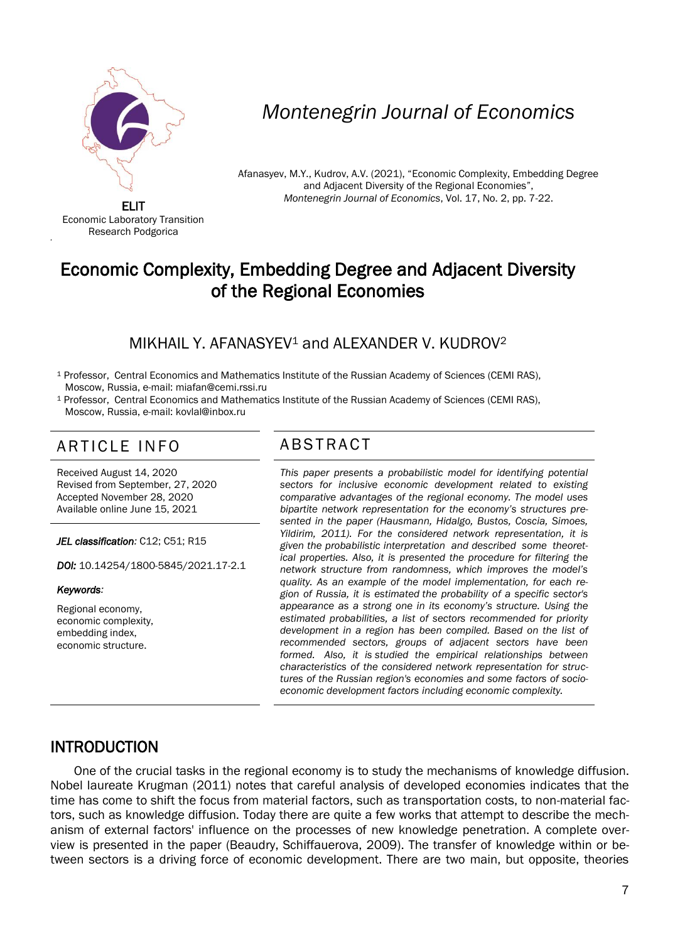

# *Montenegrin Journal of Economics*

Afanasyev, M.Y., Kudrov, A.V. (2021), "Economic Complexity, Embedding Degree and Adjacent Diversity of the Regional Economies", *Montenegrin Journal of Economics*, Vol. 17, No. 2, pp. 7-22.

ELIT Economic Laboratory Transition Research Podgorica

'

# Economic Complexity, Embedding Degree and Adjacent Diversity of the Regional Economies

#### MIKHAIL Y. AFANASYFV1 and ALEXANDER V. KUDROV2

<sup>1</sup> Professor, Central Economics and Mathematics Institute of the Russian Academy of Sciences (CEMI RAS), Moscow, Russia, e-mail: miafan@cemi.rssi.ru

<sup>1</sup> Professor, Central Economics and Mathematics Institute of the Russian Academy of Sciences (CEMI RAS), Moscow, Russia, e-mail: kovlal@inbox.ru

## ARTICLE INFO ABSTRACT

Received August 14, 2020 Revised from September, 27, 2020 Accepted November 28, 2020 Available online June 15, 2021

*JEL classification:* C12; C51; R15

*DOI:* 10.14254/1800-5845/2021.17-2.1

#### *Keywords:*

Regional economy, economic complexity, embedding index, economic structure.

 *This paper presents a probabilistic model for identifying potential sectors for inclusive economic development related to existing comparative advantages of the regional economy. The model uses bipartite network representation for the economy's structures presented in the paper (Hausmann, Hidalgo, Bustos, Coscia, Simoes, Yildirim, 2011). For the considered network representation, it is given the probabilistic interpretation and described some theoretical properties. Also, it is presented the procedure for filtering the network structure from randomness, which improves the model's quality. As an example of the model implementation, for each region of Russia, it is estimated the probability of a specific sector's appearance as a strong one in its economy's structure. Using the estimated probabilities, a list of sectors recommended for priority development in a region has been compiled. Based on the list of recommended sectors, groups of adjacent sectors have been formed. Also, it is studied the empirical relationships between characteristics of the considered network representation for structures of the Russian region's economies and some factors of socioeconomic development factors including economic complexity.*

#### INTRODUCTION

One of the crucial tasks in the regional economy is to study the mechanisms of knowledge diffusion. Nobel laureate Krugman (2011) notes that careful analysis of developed economies indicates that the time has come to shift the focus from material factors, such as transportation costs, to non-material factors, such as knowledge diffusion. Today there are quite a few works that attempt to describe the mechanism of external factors' influence on the processes of new knowledge penetration. A complete overview is presented in the paper (Beaudry, Schiffauerova, 2009). The transfer of knowledge within or between sectors is a driving force of economic development. There are two main, but opposite, theories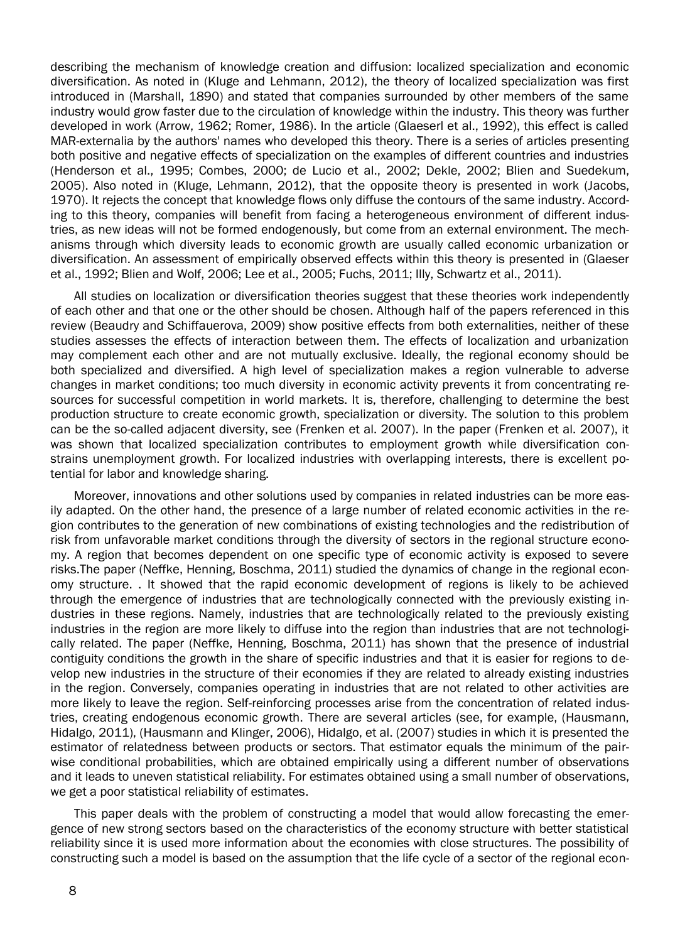describing the mechanism of knowledge creation and diffusion: localized specialization and economic diversification. As noted in (Kluge and Lehmann, 2012), the theory of localized specialization was first introduced in (Marshall, 1890) and stated that companies surrounded by other members of the same industry would grow faster due to the circulation of knowledge within the industry. This theory was further developed in work (Arrow, 1962; Romer, 1986). In the article (Glaeserl et al., 1992), this effect is called MAR-externalia by the authors' names who developed this theory. There is a series of articles presenting both positive and negative effects of specialization on the examples of different countries and industries (Henderson et al., 1995; Combes, 2000; de Lucio et al., 2002; Dekle, 2002; Blien and Suedekum, 2005). Also noted in (Kluge, Lehmann, 2012), that the opposite theory is presented in work (Jacobs, 1970). It rejects the concept that knowledge flows only diffuse the contours of the same industry. According to this theory, companies will benefit from facing a heterogeneous environment of different industries, as new ideas will not be formed endogenously, but come from an external environment. The mechanisms through which diversity leads to economic growth are usually called economic urbanization or diversification. An assessment of empirically observed effects within this theory is presented in (Glaeser et al., 1992; Blien and Wolf, 2006; Lee et al., 2005; Fuchs, 2011; Illy, Schwartz et al., 2011).

All studies on localization or diversification theories suggest that these theories work independently of each other and that one or the other should be chosen. Although half of the papers referenced in this review (Beaudry and Schiffauerova, 2009) show positive effects from both externalities, neither of these studies assesses the effects of interaction between them. The effects of localization and urbanization may complement each other and are not mutually exclusive. Ideally, the regional economy should be both specialized and diversified. A high level of specialization makes a region vulnerable to adverse changes in market conditions; too much diversity in economic activity prevents it from concentrating resources for successful competition in world markets. It is, therefore, challenging to determine the best production structure to create economic growth, specialization or diversity. The solution to this problem can be the so-called adjacent diversity, see (Frenken et al. 2007). In the paper (Frenken et al. 2007), it was shown that localized specialization contributes to employment growth while diversification constrains unemployment growth. For localized industries with overlapping interests, there is excellent potential for labor and knowledge sharing.

Moreover, innovations and other solutions used by companies in related industries can be more easily adapted. On the other hand, the presence of a large number of related economic activities in the region contributes to the generation of new combinations of existing technologies and the redistribution of risk from unfavorable market conditions through the diversity of sectors in the regional structure economy. A region that becomes dependent on one specific type of economic activity is exposed to severe risks.The paper (Neffke, Henning, Boschma, 2011) studied the dynamics of change in the regional economy structure. . It showed that the rapid economic development of regions is likely to be achieved through the emergence of industries that are technologically connected with the previously existing industries in these regions. Namely, industries that are technologically related to the previously existing industries in the region are more likely to diffuse into the region than industries that are not technologically related. The paper (Neffke, Henning, Boschma, 2011) has shown that the presence of industrial contiguity conditions the growth in the share of specific industries and that it is easier for regions to develop new industries in the structure of their economies if they are related to already existing industries in the region. Conversely, companies operating in industries that are not related to other activities are more likely to leave the region. Self-reinforcing processes arise from the concentration of related industries, creating endogenous economic growth. There are several articles (see, for example, (Hausmann, Hidalgo, 2011), (Hausmann and Klinger, 2006), Hidalgo, et al. (2007) studies in which it is presented the estimator of relatedness between products or sectors. That estimator equals the minimum of the pairwise conditional probabilities, which are obtained empirically using a different number of observations and it leads to uneven statistical reliability. For estimates obtained using a small number of observations, we get a poor statistical reliability of estimates.

This paper deals with the problem of constructing a model that would allow forecasting the emergence of new strong sectors based on the characteristics of the economy structure with better statistical reliability since it is used more information about the economies with close structures. The possibility of constructing such a model is based on the assumption that the life cycle of a sector of the regional econ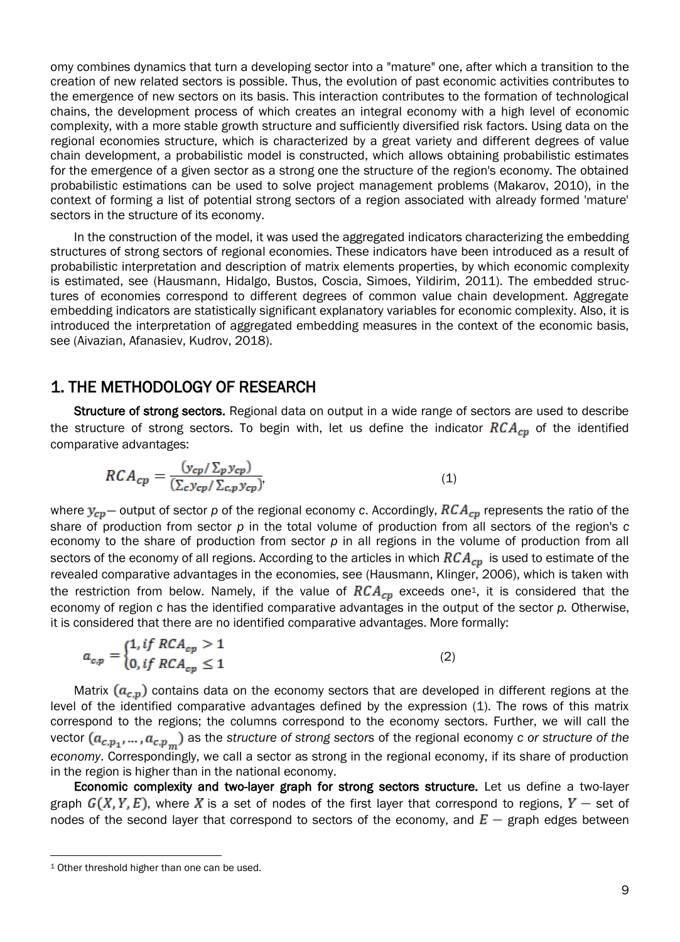omy combines dynamics that turn a developing sector into a "mature" one, after which a transition to the creation of new related sectors is possible. Thus, the evolution of past economic activities contributes to the emergence of new sectors on its basis. This interaction contributes to the formation of technological chains, the development process of which creates an integral economy with a high level of economic complexity, with a more stable growth structure and sufficiently diversified risk factors. Using data on the regional economies structure, which is characterized by a great variety and different degrees of value chain development, a probabilistic model is constructed, which allows obtaining probabilistic estimates for the emergence of a given sector as a strong one the structure of the region's economy. The obtained probabilistic estimations can be used to solve project management problems (Makarov, 2010), in the context of forming a list of potential strong sectors of a region associated with already formed 'mature' sectors in the structure of its economy.

In the construction of the model, it was used the aggregated indicators characterizing the embedding structures of strong sectors of regional economies. These indicators have been introduced as a result of probabilistic interpretation and description of matrix elements properties, by which economic complexity is estimated, see (Hausmann, Hidalgo, Bustos, Coscia, Simoes, Yildirim, 2011). The embedded structures of economies correspond to different degrees of common value chain development. Aggregate embedding indicators are statistically significant explanatory variables for economic complexity. Also, it is introduced the interpretation of aggregated embedding measures in the context of the economic basis, see (Aivazian, Afanasiev, Kudrov, 2018).

#### 1. THE METHODOLOGY OF RESEARCH

Structure of strong sectors. Regional data on output in a wide range of sectors are used to describe the structure of strong sectors. To begin with, let us define the indicator  $RCA_{cp}$  of the identified comparative advantages:

$$
RCA_{cp} = \frac{(y_{cp}/\Sigma_p y_{cp})}{(\Sigma_c y_{cp}/\Sigma_{c,p} y_{cp})},\tag{1}
$$

where  $y_{cp}$  – output of sector p of the regional economy c. Accordingly,  $RCA_{cp}$  represents the ratio of the share of production from sector *p* in the total volume of production from all sectors of the region's *с* economy to the share of production from sector *p* in all regions in the volume of production from all sectors of the economy of all regions. According to the articles in which  $RCA_{cp}$  is used to estimate of the revealed comparative advantages in the economies, see (Hausmann, Klinger, 2006), which is taken with the restriction from below. Namely, if the value of  $RCA_{cp}$  exceeds one<sup>1</sup>, it is considered that the economy of region *c* has the identified comparative advantages in the output of the sector *p.* Otherwise, it is considered that there are no identified comparative advantages. More formally:

$$
a_{c,p} = \begin{cases} 1, & if \ RCA_{cp} > 1 \\ 0, & if \ RCA_{cp} \le 1 \end{cases}
$$
 (2)

Matrix  $(a_{c,p})$  contains data on the economy sectors that are developed in different regions at the level of the identified comparative advantages defined by the expression (1). The rows of this matrix correspond to the regions; the columns correspond to the economy sectors. Further, we will call the vector  $(a_{c,p_1},...,a_{c,p_m})$  as the *structure* of *strong sectors* of the regional economy *c* or *structure* of the *economy*. Correspondingly, we call a sector as strong in the regional economy, if its share of production in the region is higher than in the national economy.

Economic complexity and two-layer graph for strong sectors structure. Let us define a two-layer graph  $G(X, Y, E)$ , where X is a set of nodes of the first layer that correspond to regions,  $Y -$  set of nodes of the second layer that correspond to sectors of the economy, and  $E$  – graph edges between

 $\overline{a}$ 

<sup>&</sup>lt;sup>1</sup> Other threshold higher than one can be used.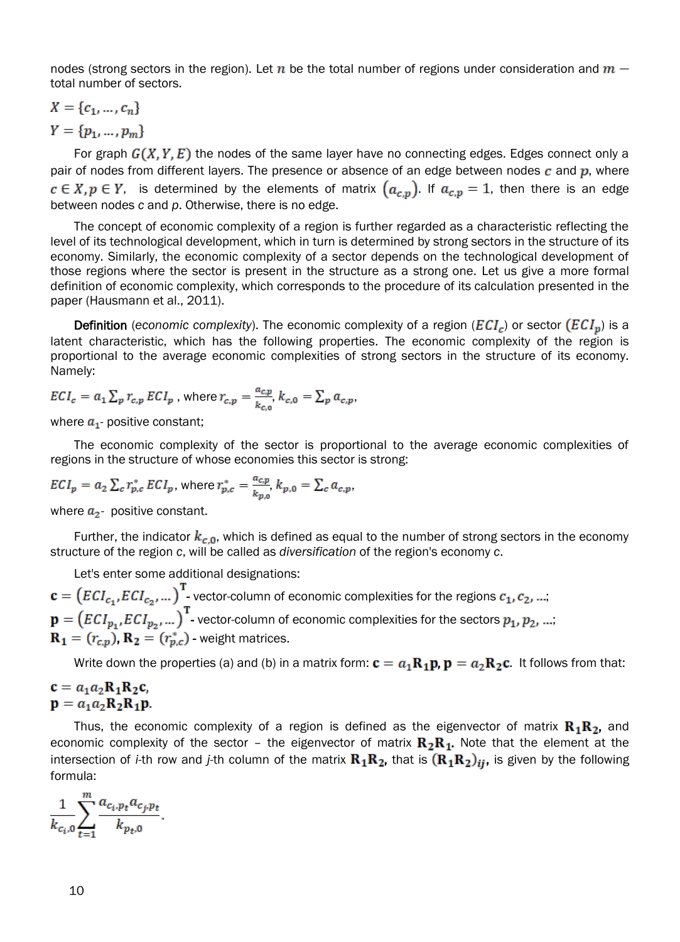nodes (strong sectors in the region). Let n be the total number of regions under consideration and  $m$ total number of sectors.

$$
X = \{c_1, \ldots, c_n\}
$$

 $Y = \{p_1, ..., p_m\}$ 

For graph  $G(X, Y, E)$  the nodes of the same layer have no connecting edges. Edges connect only a pair of nodes from different layers. The presence or absence of an edge between nodes  $c$  and  $p$ , where  $c \in X, p \in Y$ , is determined by the elements of matrix  $(a_{c,n})$ . If  $a_{c,n} = 1$ , then there is an edge between nodes *c* and *p*. Otherwise, there is no edge.

The concept of economic complexity of a region is further regarded as a characteristic reflecting the level of its technological development, which in turn is determined by strong sectors in the structure of its economy. Similarly, the economic complexity of a sector depends on the technological development of those regions where the sector is present in the structure as a strong one. Let us give a more formal definition of economic complexity, which corresponds to the procedure of its calculation presented in the paper (Hausmann et al., 2011).

**Definition** (*economic complexity*). The economic complexity of a region ( $ECI_c$ ) or sector  $(ECI_p)$  is a latent characteristic, which has the following properties. The economic complexity of the region is proportional to the average economic complexities of strong sectors in the structure of its economy. Namely:

$$
ECI_c = a_1 \sum_p r_{c,p} \, ECI_p \text{ , where } r_{c,p} = \frac{a_{c,p}}{k_{c,o}}, k_{c,0} = \sum_p a_{c,p},
$$

where  $a_1$ - positive constant;

The economic complexity of the sector is proportional to the average economic complexities of regions in the structure of whose economies this sector is strong:

$$
ECI_p = a_2 \sum_c r_{p,c}^* ECI_p, \text{ where } r_{p,c}^* = \frac{a_{c,p}}{k_{p,0}}, k_{p,0} = \sum_c a_{c,p},
$$

where  $a_2$ - positive constant.

Further, the indicator  $k_{c,0}$ , which is defined as equal to the number of strong sectors in the economy structure of the region *c*, will be called as *diversification* of the region's economy *c*.

Let's enter some additional designations:

 $\mathbf{c} = (ECI_{c_1}, ECI_{c_2},...)$  vector-column of economic complexities for the regions  $c_1, c_2, ...$ ;  $\mathbf{p} = (ECI_{p_1}, ECI_{p_2},...)$ <sup>T</sup> vector-column of economic complexities for the sectors  $p_1, p_2, ...$  $\mathbf{R}_1 = (r_{c,p})$ ,  $\mathbf{R}_2 = (r_{p,c}^*)$  - weight matrices.

Write down the properties (a) and (b) in a matrix form:  $\mathbf{c} = a_1 \mathbf{R}_1 \mathbf{p}$ ,  $\mathbf{p} = a_2 \mathbf{R}_2 \mathbf{c}$ . It follows from that:

# $\mathbf{c} = a_1 a_2 \mathbf{R}_1 \mathbf{R}_2 \mathbf{c},$ <br>  $\mathbf{p} = a_1 a_2 \mathbf{R}_2 \mathbf{R}_1 \mathbf{p}.$

Thus, the economic complexity of a region is defined as the eigenvector of matrix  $\mathbf{R}_1 \mathbf{R}_2$ , and economic complexity of the sector - the eigenvector of matrix  $R_2R_1$ . Note that the element at the intersection of *i*-th row and *j*-th column of the matrix  $R_1R_2$ , that is  $(R_1R_2)_{ij}$ , is given by the following formula:

$$
\frac{1}{k_{c_i,0}}\sum_{t=1}^m \frac{a_{c_i,p_t}a_{c_j,p_t}}{k_{p_t,0}}.
$$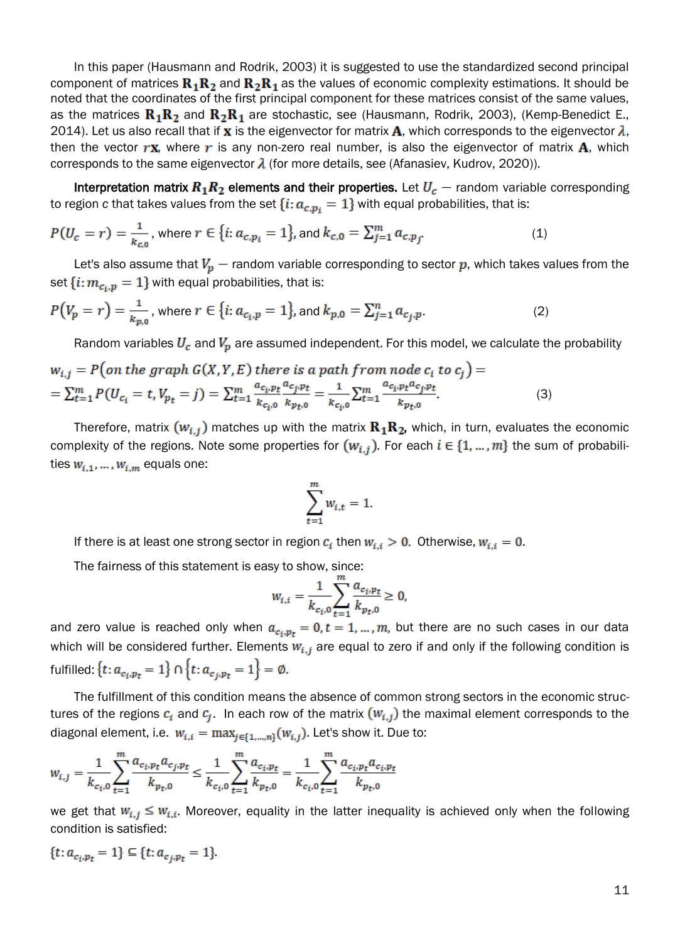In this paper (Hausmann and Rodrik, 2003) it is suggested to use the standardized second principal component of matrices  $\mathbf{R}_1 \mathbf{R}_2$  and  $\mathbf{R}_2 \mathbf{R}_1$  as the values of economic complexity estimations. It should be noted that the coordinates of the first principal component for these matrices consist of the same values, as the matrices  $\mathbf{R}_1 \mathbf{R}_2$  and  $\mathbf{R}_2 \mathbf{R}_1$  are stochastic, see (Hausmann, Rodrik, 2003), (Kemp-Benedict E., 2014). Let us also recall that if **x** is the eigenvector for matrix **A**, which corresponds to the eigenvector  $\lambda$ , then the vector  $r\mathbf{x}$ , where r is any non-zero real number, is also the eigenvector of matrix  $\mathbf{A}$ , which corresponds to the same eigenvector  $\lambda$  (for more details, see (Afanasiev, Kudrov, 2020)).

Interpretation matrix  $R_1R_2$  elements and their properties. Let  $U_c$  – random variable corresponding to region c that takes values from the set  $\{i: a_{c,p_i} = 1\}$  with equal probabilities, that is:

$$
P(U_c = r) = \frac{1}{k_{c,0}}, \text{ where } r \in \{i: a_{c,p_i} = 1\}, \text{ and } k_{c,0} = \sum_{j=1}^{m} a_{c,p_j} \tag{1}
$$

Let's also assume that  $V_p$  – random variable corresponding to sector p, which takes values from the set  $\{i: m_{c_i,p} = 1\}$  with equal probabilities, that is:

$$
P(V_p = r) = \frac{1}{k_{p,0}}, \text{ where } r \in \{i: a_{c_i, p} = 1\}, \text{ and } k_{p,0} = \sum_{j=1}^n a_{c_j, p}.
$$
 (2)

Random variables  $U_c$  and  $V_p$  are assumed independent. For this model, we calculate the probability

$$
w_{i,j} = P(\text{on the graph } G(X, Y, E) \text{ there is a path from node } c_i \text{ to } c_j) =
$$
  
=  $\sum_{t=1}^{m} P(U_{c_i} = t, V_{p_t} = j) = \sum_{t=1}^{m} \frac{a_{c_i p_t} a_{c_j p_t}}{k_{c_i 0}} = \frac{1}{k_{c_i 0}} \sum_{t=1}^{m} \frac{a_{c_i p_t} a_{c_j p_t}}{k_{p_t 0}}.$  (3)

Therefore, matrix  $(w_{i,i})$  matches up with the matrix  $\mathbf{R}_1 \mathbf{R}_2$ , which, in turn, evaluates the economic complexity of the regions. Note some properties for  $(w_{i,j})$ . For each  $i \in \{1, ..., m\}$  the sum of probabilities  $w_{i,1}, \ldots, w_{i,m}$  equals one:

$$
\sum_{t=1}^{m} w_{i,t} = 1.
$$

If there is at least one strong sector in region  $c_i$  then  $w_{i,i} > 0$ . Otherwise,  $w_{i,i} = 0$ .

The fairness of this statement is easy to show, since:

$$
W_{i,i} = \frac{1}{k_{c_i,0}} \sum_{t=1}^{m} \frac{a_{c_i, p_t}}{k_{p_t,0}} \ge 0,
$$

and zero value is reached only when  $a_{c_i, p_f} = 0$ ,  $t = 1, ..., m$ , but there are no such cases in our data which will be considered further. Elements  $w_{i,j}$  are equal to zero if and only if the following condition is fulfilled:  $\{t: a_{c_i, p_t} = 1\} \cap \{t: a_{c_i, p_t} = 1\} = \emptyset.$ 

The fulfillment of this condition means the absence of common strong sectors in the economic structures of the regions  $c_i$  and  $c_j$ . In each row of the matrix  $(w_{i,j})$  the maximal element corresponds to the diagonal element, i.e.  $w_{i,i} = \max_{j \in \{1, \ldots, n\}} (w_{i,j})$ . Let's show it. Due to:

$$
w_{i,j} = \frac{1}{k_{c_i,0}} \sum_{t=1}^{m} \frac{a_{c_i, p_t} a_{c_j, p_t}}{k_{p_t,0}} \le \frac{1}{k_{c_i,0}} \sum_{t=1}^{m} \frac{a_{c_i, p_t}}{k_{p_t,0}} = \frac{1}{k_{c_i,0}} \sum_{t=1}^{m} \frac{a_{c_i, p_t} a_{c_i, p_t}}{k_{p_t,0}}
$$

we get that  $w_{i,j} \leq w_{i,i}$ . Moreover, equality in the latter inequality is achieved only when the following condition is satisfied:

$$
\{t: a_{c_i, p_t} = 1\} \subseteq \{t: a_{c_j, p_t} = 1\}
$$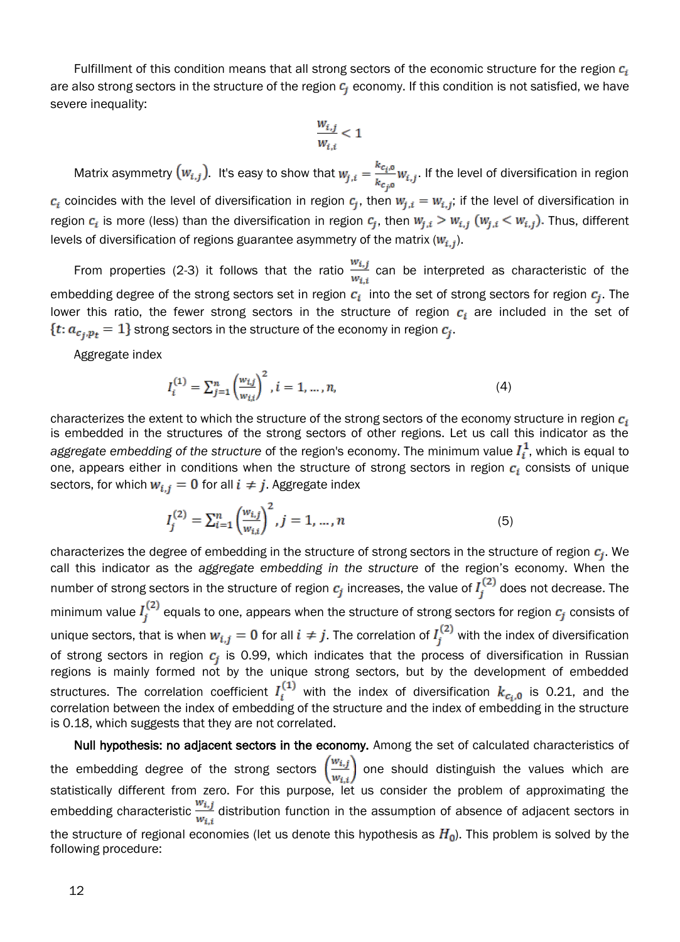Fulfillment of this condition means that all strong sectors of the economic structure for the region  $c_i$ are also strong sectors in the structure of the region  $c_i$  economy. If this condition is not satisfied, we have severe inequality:

$$
\frac{w_{i,j}}{w_{i,i}} < 1
$$

Matrix asymmetry  $(w_{i,j})$ . It's easy to show that  $w_{j,i} = \frac{k_{c_i,0}}{k_{c_i,0}} w_{i,j}$ . If the level of diversification in region  $c_i$  coincides with the level of diversification in region  $c_i$ , then  $w_{i,i} = w_{i,j}$ ; if the level of diversification in region  $c_i$  is more (less) than the diversification in region  $c_j$ , then  $w_{j,i} > w_{i,j}$  ( $w_{j,i} < w_{i,j}$ ). Thus, different levels of diversification of regions guarantee asymmetry of the matrix  $(W_{i,j})$ .

From properties (2-3) it follows that the ratio  $\frac{w_{i,j}}{w_{i,j}}$  can be interpreted as characteristic of the embedding degree of the strong sectors set in region  $c_i$  into the set of strong sectors for region  $c_i$ . The lower this ratio, the fewer strong sectors in the structure of region  $c_i$  are included in the set of  $\{t: a_{c_i, p_t} = 1\}$  strong sectors in the structure of the economy in region  $c_j$ .

Aggregate index

$$
I_i^{(1)} = \sum_{j=1}^n \left(\frac{w_{i,j}}{w_{i,i}}\right)^2, i = 1, \dots, n,
$$
\n(4)

characterizes the extent to which the structure of the strong sectors of the economy structure in region  $c_i$ is embedded in the structures of the strong sectors of other regions. Let us call this indicator as the *aggregate embedding* of the structure of the region's economy. The minimum value  $I_i^1$ , which is equal to one, appears either in conditions when the structure of strong sectors in region  $c_i$  consists of unique sectors, for which  $w_{i,i} = 0$  for all  $i \neq j$ . Aggregate index

$$
I_j^{(2)} = \sum_{i=1}^n \left(\frac{w_{i,j}}{w_{i,i}}\right)^2, j = 1, ..., n
$$
 (5)

characterizes the degree of embedding in the structure of strong sectors in the structure of region  $c_j$ . We call this indicator as the *aggregate embedding in the structure* of the region's economy. When the number of strong sectors in the structure of region  $c_j$  increases, the value of  $I_i^{(2)}$  does not decrease. The minimum value  $I_j^{(2)}$  equals to one, appears when the structure of strong sectors for region  $c_j$  consists of unique sectors, that is when  $w_{i,j} = 0$  for all  $i \neq j$ . The correlation of  $I_i^{(2)}$  with the index of diversification of strong sectors in region  $c_j$  is 0.99, which indicates that the process of diversification in Russian regions is mainly formed not by the unique strong sectors, but by the development of embedded structures. The correlation coefficient  $I_i^{(1)}$  with the index of diversification  $k_{c_i,0}$  is 0.21, and the correlation between the index of embedding of the structure and the index of embedding in the structure is 0.18, which suggests that they are not correlated.

Null hypothesis: no adjacent sectors in the economy. Among the set of calculated characteristics of the embedding degree of the strong sectors  $\left(\frac{w_{i,j}}{w_{i,i}}\right)$  one should distinguish the values which are statistically different from zero. For this purpose, let us consider the problem of approximating the embedding characteristic  $\frac{w_{i,j}}{w_{i,j}}$  distribution function in the assumption of absence of adjacent sectors in the structure of regional economies (let us denote this hypothesis as  $H_0$ ). This problem is solved by the following procedure: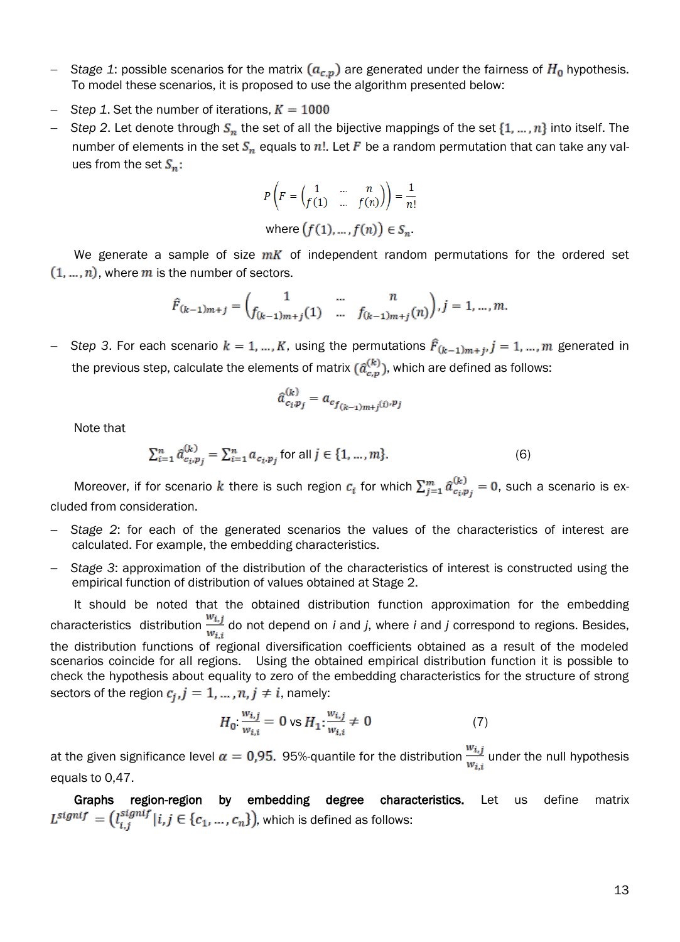- Stage 1: possible scenarios for the matrix  $(a_{c,p})$  are generated under the fairness of  $H_0$  hypothesis. To model these scenarios, it is proposed to use the algorithm presented below:
- *Step 1.* Set the number of iterations,  $K = 1000$
- *Step 2.* Let denote through  $S_n$  the set of all the bijective mappings of the set  $\{1, ..., n\}$  into itself. The number of elements in the set  $S_n$  equals to n!. Let F be a random permutation that can take any values from the set  $S_n$ :

$$
P\left(F = \begin{pmatrix} 1 & \dots & n \\ f(1) & \dots & f(n) \end{pmatrix}\right) = \frac{1}{n!}
$$
  
where  $(f(1), \dots, f(n)) \in S_n$ .

We generate a sample of size  $mK$  of independent random permutations for the ordered set  $(1, ..., n)$ , where m is the number of sectors.

$$
\hat{F}_{(k-1)m+j} = \begin{pmatrix} 1 & \dots & n \\ f_{(k-1)m+j}(1) & \dots & f_{(k-1)m+j}(n) \end{pmatrix}, j = 1, \dots, m.
$$

- Step 3. For each scenario  $k = 1, ..., K$ , using the permutations  $\hat{F}_{(k-1)m+j}, j = 1, ..., m$  generated in the previous step, calculate the elements of matrix  $(\hat{a}_{c,p}^{(k)})$ , which are defined as follows:

$$
\hat{a}_{c_i,p_j}^{(k)} = a_{c_{f(k-1)m+j}(i),p_j}
$$

Note that

 $\sum_{i=1}^{n} \hat{a}_{c_i, p_j}^{(k)} = \sum_{i=1}^{n} a_{c_i, p_j}$  for all  $j \in \{1, ..., m\}.$  (6)

Moreover, if for scenario k there is such region  $c_i$  for which  $\sum_{j=1}^m \hat{a}_{c_i p_j}^{(k)} = 0$ , such a scenario is excluded from consideration.

- *Stage 2*: for each of the generated scenarios the values of the characteristics of interest are calculated. For example, the embedding characteristics.
- *Stage 3*: approximation of the distribution of the characteristics of interest is constructed using the empirical function of distribution of values obtained at Stage 2.

It should be noted that the obtained distribution function approximation for the embedding characteristics distribution  $\frac{w_{i,j}}{w_{i,j}}$  do not depend on *i* and *j*, where *i* and *j* correspond to regions. Besides, the distribution functions of regional diversification coefficients obtained as a result of the modeled scenarios coincide for all regions. Using the obtained empirical distribution function it is possible to check the hypothesis about equality to zero of the embedding characteristics for the structure of strong sectors of the region  $c_j$ ,  $j = 1, ..., n$ ,  $j \neq i$ , namely:

$$
H_0: \frac{w_{i,j}}{w_{i,i}} = 0 \text{ vs } H_1: \frac{w_{i,j}}{w_{i,i}} \neq 0 \tag{7}
$$

at the given significance level  $\alpha = 0.95$ . 95%-quantile for the distribution  $\frac{w_{i,j}}{w_{i,j}}$  under the null hypothesis equals to 0,47.

Graphs region-region by embedding degree characteristics. Let us define matrix  $L^{signif} = (l_{i,j}^{signif} | i,j \in \{c_1, ..., c_n\})$ , which is defined as follows: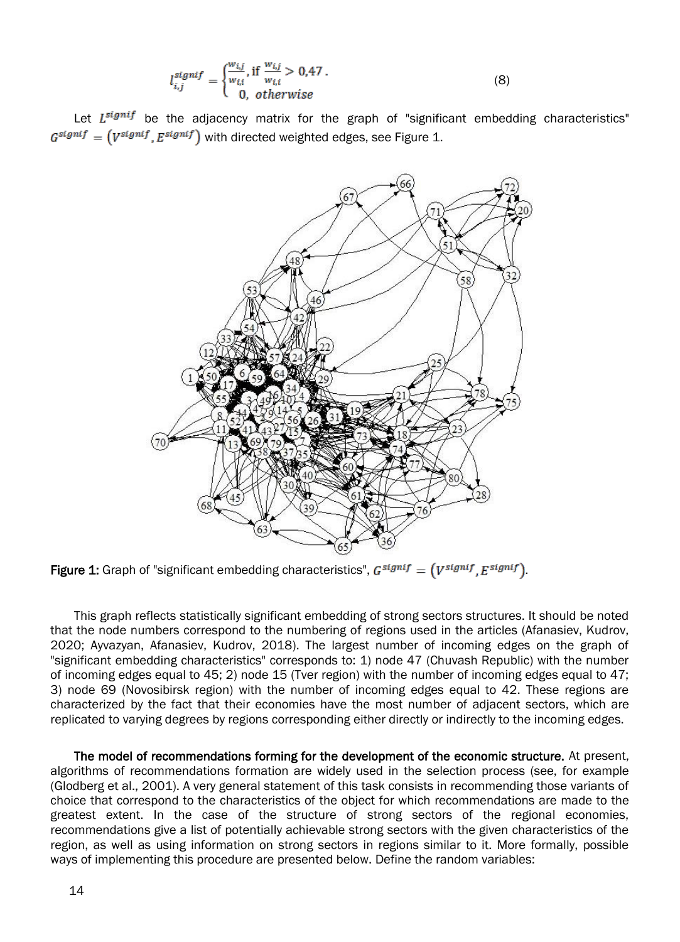$$
l_{i,j}^{signif} = \begin{cases} \frac{w_{i,j}}{w_{i,i}} & \text{if } \frac{w_{i,j}}{w_{i,i}} > 0.47 \\ 0 & \text{otherwise} \end{cases}
$$
 (8)

Let  $L^{signif}$  be the adjacency matrix for the graph of "significant embedding characteristics"  $G^{signif} = (V^{signif}, E^{signif})$  with directed weighted edges, see Figure 1.



Figure 1: Graph of "significant embedding characteristics",  $G^{signif} = (V^{signif}, E^{signif})$ .

This graph reflects statistically significant embedding of strong sectors structures. It should be noted that the node numbers correspond to the numbering of regions used in the articles (Afanasiev, Kudrov, 2020; Ayvazyan, Afanasiev, Kudrov, 2018). The largest number of incoming edges on the graph of "significant embedding characteristics" corresponds to: 1) node 47 (Chuvash Republic) with the number of incoming edges equal to 45; 2) node 15 (Tver region) with the number of incoming edges equal to 47; 3) node 69 (Novosibirsk region) with the number of incoming edges equal to 42. These regions are characterized by the fact that their economies have the most number of adjacent sectors, which are replicated to varying degrees by regions corresponding either directly or indirectly to the incoming edges.

The model of recommendations forming for the development of the economic structure. At present, algorithms of recommendations formation are widely used in the selection process (see, for example (Glodberg et al., 2001). A very general statement of this task consists in recommending those variants of choice that correspond to the characteristics of the object for which recommendations are made to the greatest extent. In the case of the structure of strong sectors of the regional economies, recommendations give a list of potentially achievable strong sectors with the given characteristics of the region, as well as using information on strong sectors in regions similar to it. More formally, possible ways of implementing this procedure are presented below. Define the random variables: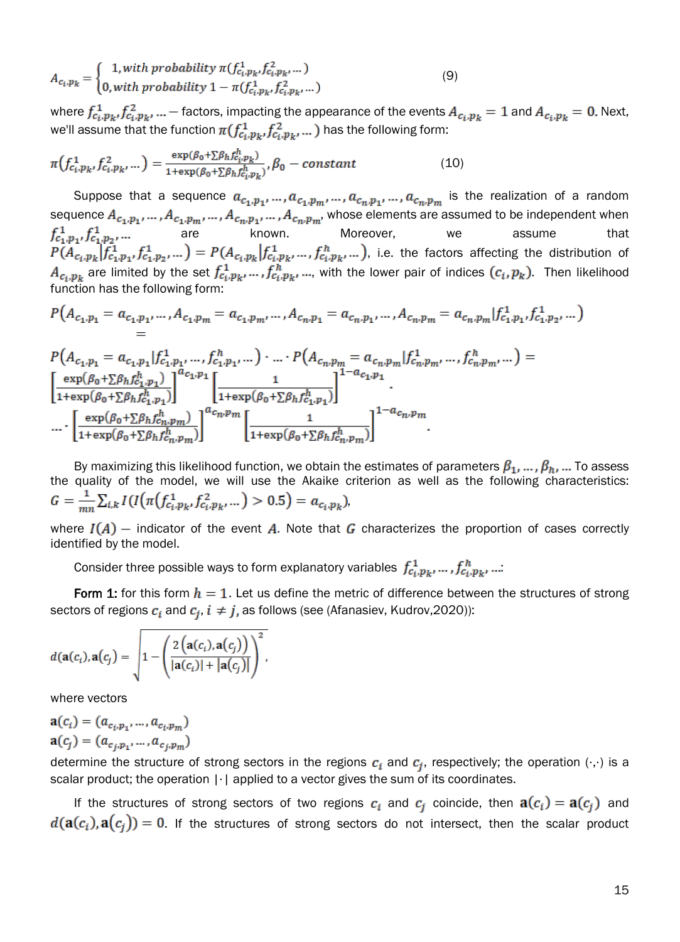$$
A_{c_i, p_k} = \begin{cases} 1, with \ probability \ \pi(f_{c_i, p_k}^1, f_{c_i, p_k}^2, \dots) \\ 0, with \ probability \ 1 - \pi(f_{c_i, p_k}^1, f_{c_i, p_k}^2, \dots) \end{cases} \tag{9}
$$

where  $f_{c_i,p_k}^1, f_{c_i,p_k}^2, ...$  - factors, impacting the appearance of the events  $A_{c_i,p_k} = 1$  and  $A_{c_i,p_k} = 0$ . Next, we'll assume that the function  $\pi(f_{c_i,p_k}^1, f_{c_i,p_k}^2, ...)$  has the following form:

$$
\pi(f_{c_i,p_k}^1, f_{c_i,p_k}^2, \dots) = \frac{\exp(\beta_0 + \sum \beta_h f_{c_i,p_k}^h)}{1 + \exp(\beta_0 + \sum \beta_h f_{c_i,p_k}^h)}, \beta_0 - constant \tag{10}
$$

Suppose that a sequence  $a_{c_1,p_1},...,a_{c_1,p_m},...,a_{c_n,p_1},...,a_{c_n,p_m}$  is the realization of a random sequence  $A_{c_1, b_1}, \ldots, A_{c_n, b_n}, \ldots, A_{c_n, b_n}, \ldots, A_{c_n, b_n}$ , whose elements are assumed to be independent when are known. Moreover, we assume that , i.e. the factors affecting the distribution of are limited by the set  $f_{c_i, p_k, ..., r}^1, f_{c_i, p_k, ..., n}^h$  with the lower pair of indices  $(c_i, p_k)$ . Then likelihood function has the following form:

$$
P(A_{c_1,p_1} = a_{c_1,p_1},...,A_{c_1,p_m} = a_{c_1,p_m},...,A_{c_n,p_1} = a_{c_n,p_1},...,A_{c_n,p_m} = a_{c_n,p_m} | f_{c_1,p_1}^1, f_{c_1,p_2}^1,...\ )
$$

$$
P(A_{c_1,p_1} = a_{c_1,p_1} | f_{c_1,p_1}^1, ..., f_{c_1,p_1}^n, ... ) \cdot ... \cdot P(A_{c_n,p_m} = a_{c_n,p_m} | f_{c_n,p_m}^1, ..., f_{c_n,p_m}^h, ... ) =
$$
\n
$$
\left[ \frac{\exp(\beta_0 + \sum \beta_h f_{c_1,p_1}^h)}{1 + \exp(\beta_0 + \sum \beta_h f_{c_1,p_1}^h)} \right]^{a_{c_1,p_1}} \left[ \frac{1}{1 + \exp(\beta_0 + \sum \beta_h f_{c_1,p_1}^h)} \right]^{1 - a_{c_1,p_1}} \cdot ... \cdot \left[ \frac{\exp(\beta_0 + \sum \beta_h f_{c_n,p_m}^h)}{1 + \exp(\beta_0 + \sum \beta_h f_{c_n,p_m}^h)} \right]^{a_{c_n,p_m}} \left[ \frac{1}{1 + \exp(\beta_0 + \sum \beta_h f_{c_n,p_m}^h)} \right]^{1 - a_{c_n,p_m}}.
$$

By maximizing this likelihood function, we obtain the estimates of parameters  $\beta_1, ..., \beta_h$ , ... To assess the quality of the model, we will use the Akaike criterion as well as the following characteristics:  $G = \frac{1}{mn} \sum_{i,k} I(I(\pi(f_{c_i,p_k}^1, f_{c_i,p_k}^2, ...) > 0.5) = a_{c_i,p_k}),$ 

where  $I(A)$  – indicator of the event A. Note that G characterizes the proportion of cases correctly identified by the model.

Consider three possible ways to form explanatory variables  $f_{c_i,p_k}^1, ..., f_{c_i,p_k}^h, ...$ 

Form 1: for this form  $h = 1$ . Let us define the metric of difference between the structures of strong sectors of regions  $c_i$  and  $c_j$ ,  $i \neq j$ , as follows (see (Afanasiev, Kudrov,2020)):

$$
d(\mathbf{a}(c_i), \mathbf{a}(c_j) = \sqrt{1 - \left(\frac{2\left(\mathbf{a}(c_i), \mathbf{a}(c_j)\right)}{|\mathbf{a}(c_i)| + |\mathbf{a}(c_j)|}\right)^2},
$$

where vectors

$$
\mathbf{a}(c_i) = (a_{c_i, p_1}, \dots, a_{c_i, p_m})
$$

$$
\mathbf{a}(c_j) = (a_{c_j, p_1}, \dots, a_{c_j, p_m})
$$

determine the structure of strong sectors in the regions  $c_i$  and  $c_j$ , respectively; the operation  $(\cdot, \cdot)$  is a scalar product; the operation |⋅| applied to a vector gives the sum of its coordinates.

If the structures of strong sectors of two regions  $c_i$  and  $c_j$  coincide, then  $\mathbf{a}(c_i) = \mathbf{a}(c_j)$  and  $d(\mathbf{a}(c_i), \mathbf{a}(c_j)) = 0$ . If the structures of strong sectors do not intersect, then the scalar product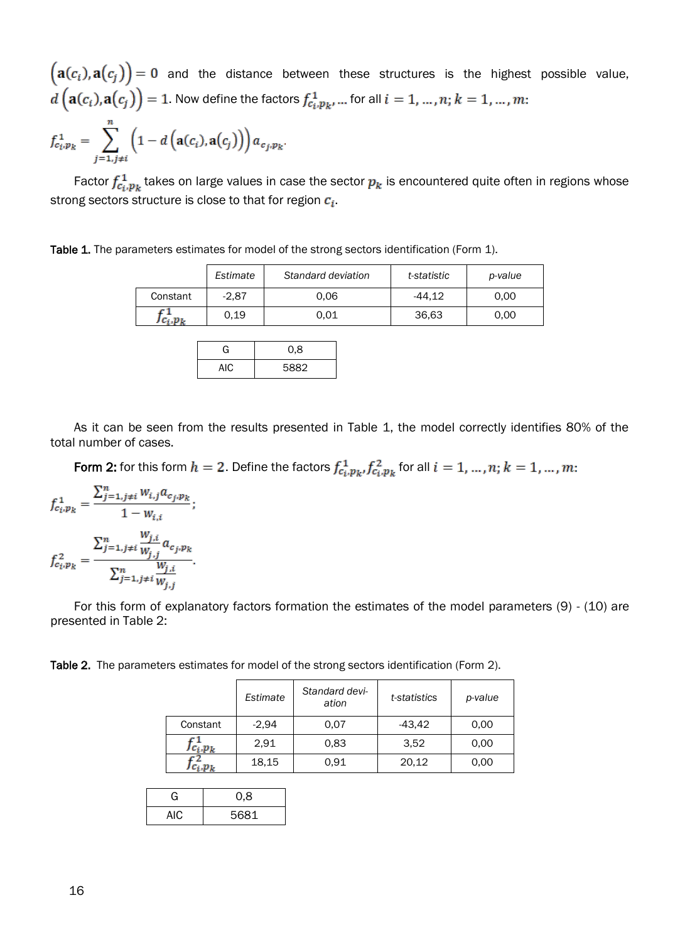$(a(c_i), a(c_j)) = 0$  and the distance between these structures is the highest possible value,  $d\left(\mathbf{a}(c_i), \mathbf{a}(c_j)\right) = 1$ . Now define the factors  $f_{c_i, p_k}^1, \dots$  for all  $i = 1, \dots, n; k = 1, \dots, m$ :

$$
f_{c_i,p_k}^1 = \sum_{j=1,j\neq i}^{n} \left(1 - d\left(\mathbf{a}(c_i), \mathbf{a}(c_j)\right)\right) a_{c_j,p_k}.
$$

Factor  $f_{c_i,p_k}^1$  takes on large values in case the sector  $p_k$  is encountered quite often in regions whose strong sectors structure is close to that for region  $c_i$ .

Table 1. The parameters estimates for model of the strong sectors identification (Form 1).

|           | Estimate | Standard deviation | t-statistic | p-value |
|-----------|----------|--------------------|-------------|---------|
| Constant  | $-2.87$  | 0.06               | -44.12      | 0.00    |
| J Ci .D L | 0.19     | 0.01               | 36,63       | 0.00    |

| G   | 0,8  |
|-----|------|
| AIC | 5882 |

As it can be seen from the results presented in Table 1, the model correctly identifies 80% of the total number of cases.

Form 2: for this form  $h = 2$ . Define the factors  $f_{c_i, p_k}^1, f_{c_i, p_k}^2$  for all  $i = 1, ..., n; k = 1, ..., m$ .

$$
f_{c_i, p_k}^1 = \frac{\sum_{j=1, j\neq i}^n w_{i,j} a_{c_j, p_k}}{1 - w_{i,i}};
$$

$$
f_{c_i, p_k}^2 = \frac{\sum_{j=1, j\neq i}^n \frac{w_{j,i}}{w_{j,j}} a_{c_j, p_k}}{\sum_{j=1, j\neq i}^n \frac{w_{j,i}}{w_{j,j}}}.
$$

For this form of explanatory factors formation the estimates of the model parameters (9) - (10) are presented in Table 2:

Table 2. The parameters estimates for model of the strong sectors identification (Form 2).

|             | Estimate | Standard devi-<br>ation | t-statistics | p-value |
|-------------|----------|-------------------------|--------------|---------|
| Constant    | $-2,94$  | 0.07                    | $-43,42$     | 0,00    |
| $Jc_i, p_k$ | 2,91     | 0.83                    | 3.52         | 0,00    |
| $c_i, p_k$  | 18,15    | 0.91                    | 20,12        | 0.00    |

| G          | 0,8  |
|------------|------|
| <b>AIC</b> | 5681 |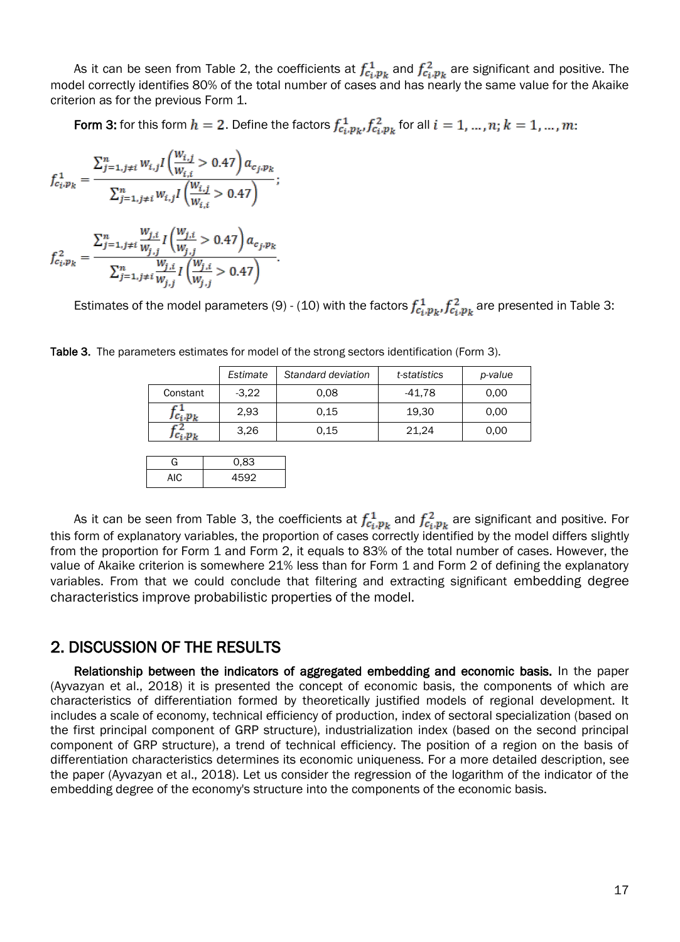As it can be seen from Table 2, the coefficients at  $f_{c_i,p_k}^1$  and  $f_{c_i,p_k}^2$  are significant and positive. The model correctly identifies 80% of the total number of cases and has nearly the same value for the Akaike criterion as for the previous Form 1.

Form 3: for this form  $h = 2$ . Define the factors  $f_{c_i, p_k}^1, f_{c_i, p_k}^2$  for all  $i = 1, ..., n$ ;  $k = 1, ..., m$ :

$$
f_{c_i,p_k}^1 = \frac{\sum_{j=1,j\neq i}^n w_{i,j} I\left(\frac{w_{i,j}}{w_{i,i}} > 0.47\right) a_{c_j,p_k}}{\sum_{j=1,j\neq i}^n w_{i,j} I\left(\frac{w_{i,j}}{w_{i,i}} > 0.47\right)}
$$

$$
f_{c_i,p_k}^2 = \frac{\sum_{j=1,j\neq i}^n \frac{W_{j,i}}{W_{j,j}} I\left(\frac{W_{j,i}}{W_{j,j}} > 0.47\right) a_{c_j,p_k}}{\sum_{j=1,j\neq i}^n \frac{W_{j,i}}{W_{j,j}} I\left(\frac{W_{j,i}}{W_{j,j}} > 0.47\right)}.
$$

Estimates of the model parameters (9) - (10) with the factors  $f_{c_i, p_k}^1, f_{c_i, p_k}^2$  are presented in Table 3:

|             | Estimate | Standard deviation | t-statistics | p-value |
|-------------|----------|--------------------|--------------|---------|
| Constant    | $-3.22$  | 0.08               | -41.78       | 0.00    |
| $Jc_i, p_k$ | 2.93     | 0.15               | 19.30        | 0.00    |
| J Ci .D L   | 3.26     | 0.15               | 21.24        | 0.00    |

Table 3. The parameters estimates for model of the strong sectors identification (Form 3).

G 0.83 AIC 4592

As it can be seen from Table 3, the coefficients at  $f_{c_i,p_k}^1$  and  $f_{c_i,p_k}^2$  are significant and positive. For this form of explanatory variables, the proportion of cases correctly identified by the model differs slightly from the proportion for Form 1 and Form 2, it equals to 83% of the total number of cases. However, the value of Akaike criterion is somewhere 21% less than for Form 1 and Form 2 of defining the explanatory variables. From that we could conclude that filtering and extracting significant embedding degree characteristics improve probabilistic properties of the model.

#### 2. DISCUSSION OF THE RESULTS

Relationship between the indicators of aggregated embedding and economic basis. In the paper (Ayvazyan et al., 2018) it is presented the concept of economic basis, the components of which are characteristics of differentiation formed by theoretically justified models of regional development. It includes a scale of economy, technical efficiency of production, index of sectoral specialization (based on the first principal component of GRP structure), industrialization index (based on the second principal component of GRP structure), a trend of technical efficiency. The position of a region on the basis of differentiation characteristics determines its economic uniqueness. For a more detailed description, see the paper (Ayvazyan et al., 2018). Let us consider the regression of the logarithm of the indicator of the embedding degree of the economy's structure into the components of the economic basis.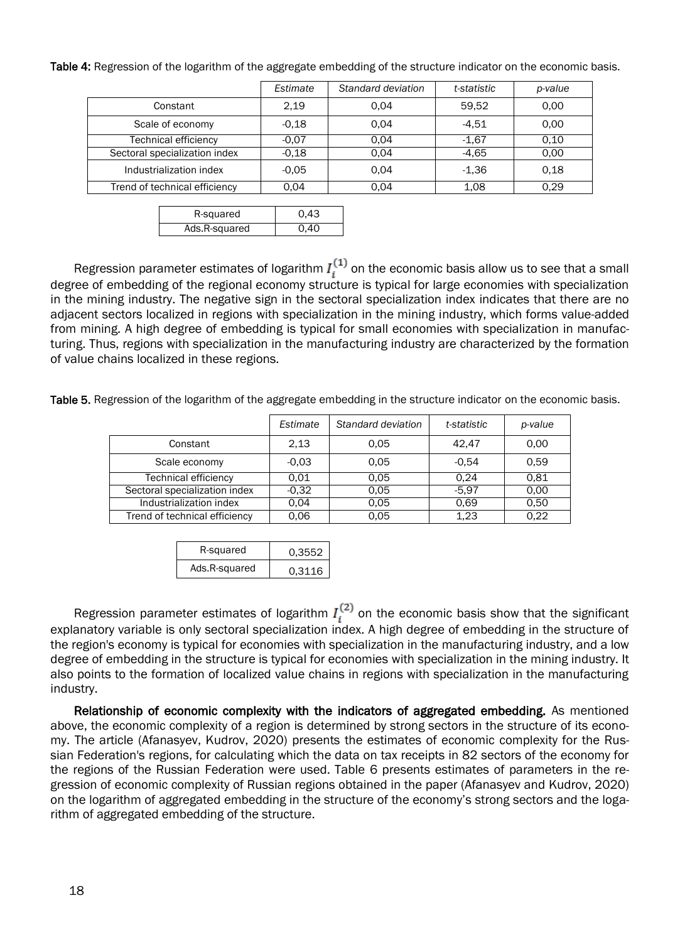|                               | Estimate | Standard deviation | t-statistic | p-value |
|-------------------------------|----------|--------------------|-------------|---------|
| Constant                      | 2.19     | 0.04               | 59.52       | 0.00    |
| Scale of economy              | $-0.18$  | 0.04               | $-4.51$     | 0.00    |
| <b>Technical efficiency</b>   | $-0.07$  | 0.04               | $-1.67$     | 0,10    |
| Sectoral specialization index | $-0.18$  | 0.04               | $-4.65$     | 0.00    |
| Industrialization index       | $-0.05$  | 0.04               | $-1.36$     | 0.18    |
| Trend of technical efficiency | 0.04     | 0.04               | 1.08        | 0.29    |

Table 4: Regression of the logarithm of the aggregate embedding of the structure indicator on the economic basis.

| R-squared     | 0.43        |
|---------------|-------------|
| Ads.R-squared | <u>በ 4በ</u> |

Regression parameter estimates of logarithm  $I_i^{(1)}$  on the economic basis allow us to see that a small degree of embedding of the regional economy structure is typical for large economies with specialization in the mining industry. The negative sign in the sectoral specialization index indicates that there are no adjacent sectors localized in regions with specialization in the mining industry, which forms value-added from mining. A high degree of embedding is typical for small economies with specialization in manufacturing. Thus, regions with specialization in the manufacturing industry are characterized by the formation of value chains localized in these regions.

Table 5. Regression of the logarithm of the aggregate embedding in the structure indicator on the economic basis.

|                               | Estimate | Standard deviation | t-statistic | p-value |
|-------------------------------|----------|--------------------|-------------|---------|
| Constant                      | 2.13     | 0.05               | 42.47       | 0.00    |
| Scale economy                 | $-0.03$  | 0.05               | $-0.54$     | 0.59    |
| <b>Technical efficiency</b>   | 0.01     | 0.05               | 0.24        | 0.81    |
| Sectoral specialization index | $-0.32$  | 0.05               | $-5.97$     | 0.00    |
| Industrialization index       | 0.04     | 0.05               | 0.69        | 0.50    |
| Trend of technical efficiency | 0.06     | 0.05               | 1,23        | 0.22    |

| R-squared     | 0.3552 |
|---------------|--------|
| Ads.R-squared | 0.3116 |

Regression parameter estimates of logarithm  $I_i^{(2)}$  on the economic basis show that the significant explanatory variable is only sectoral specialization index. A high degree of embedding in the structure of the region's economy is typical for economies with specialization in the manufacturing industry, and a low degree of embedding in the structure is typical for economies with specialization in the mining industry. It also points to the formation of localized value chains in regions with specialization in the manufacturing industry.

Relationship of economic complexity with the indicators of aggregated embedding. As mentioned above, the economic complexity of a region is determined by strong sectors in the structure of its economy. The article (Afanasyev, Kudrov, 2020) presents the estimates of economic complexity for the Russian Federation's regions, for calculating which the data on tax receipts in 82 sectors of the economy for the regions of the Russian Federation were used. Table 6 presents estimates of parameters in the regression of economic complexity of Russian regions obtained in the paper (Afanasyev and Kudrov, 2020) on the logarithm of aggregated embedding in the structure of the economy's strong sectors and the logarithm of aggregated embedding of the structure.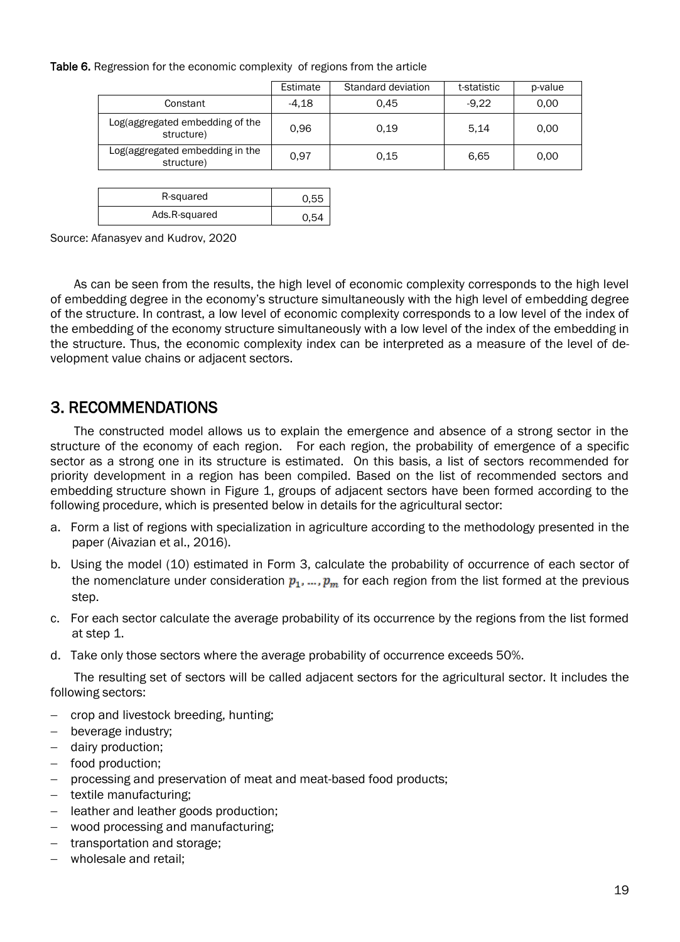#### Table 6. Regression for the economic complexity of regions from the article

|                                               | Estimate | Standard deviation | t-statistic | p-value |
|-----------------------------------------------|----------|--------------------|-------------|---------|
| Constant                                      | $-4.18$  | 0.45               | $-9.22$     | 0.00    |
| Log(aggregated embedding of the<br>structure) | 0.96     | 0.19               | 5.14        | 0.00    |
| Log(aggregated embedding in the<br>structure) | 0.97     | 0.15               | 6.65        | 0.00    |

| R-squared     | 0.55 |
|---------------|------|
| Ads.R-squared | ᄃᄼ   |

Source: Afanasyev and Kudrov, 2020

As can be seen from the results, the high level of economic complexity corresponds to the high level of embedding degree in the economy's structure simultaneously with the high level of embedding degree of the structure. In contrast, a low level of economic complexity corresponds to a low level of the index of the embedding of the economy structure simultaneously with a low level of the index of the embedding in the structure. Thus, the economic complexity index can be interpreted as a measure of the level of development value chains or adjacent sectors.

#### 3. RECOMMENDATIONS

The constructed model allows us to explain the emergence and absence of a strong sector in the structure of the economy of each region. For each region, the probability of emergence of a specific sector as a strong one in its structure is estimated. On this basis, a list of sectors recommended for priority development in a region has been compiled. Based on the list of recommended sectors and embedding structure shown in Figure 1, groups of adjacent sectors have been formed according to the following procedure, which is presented below in details for the agricultural sector:

- a. Form a list of regions with specialization in agriculture according to the methodology presented in the paper (Aivazian et al., 2016).
- b. Using the model (10) estimated in Form 3, calculate the probability of occurrence of each sector of the nomenclature under consideration  $p_1, ..., p_m$  for each region from the list formed at the previous step.
- c. For each sector calculate the average probability of its occurrence by the regions from the list formed at step 1.
- d. Take only those sectors where the average probability of occurrence exceeds 50%.

The resulting set of sectors will be called adjacent sectors for the agricultural sector. It includes the following sectors:

- crop and livestock breeding, hunting;
- beverage industry;
- dairy production;
- food production;
- processing and preservation of meat and meat-based food products;
- textile manufacturing;
- leather and leather goods production;
- wood processing and manufacturing;
- transportation and storage;
- wholesale and retail;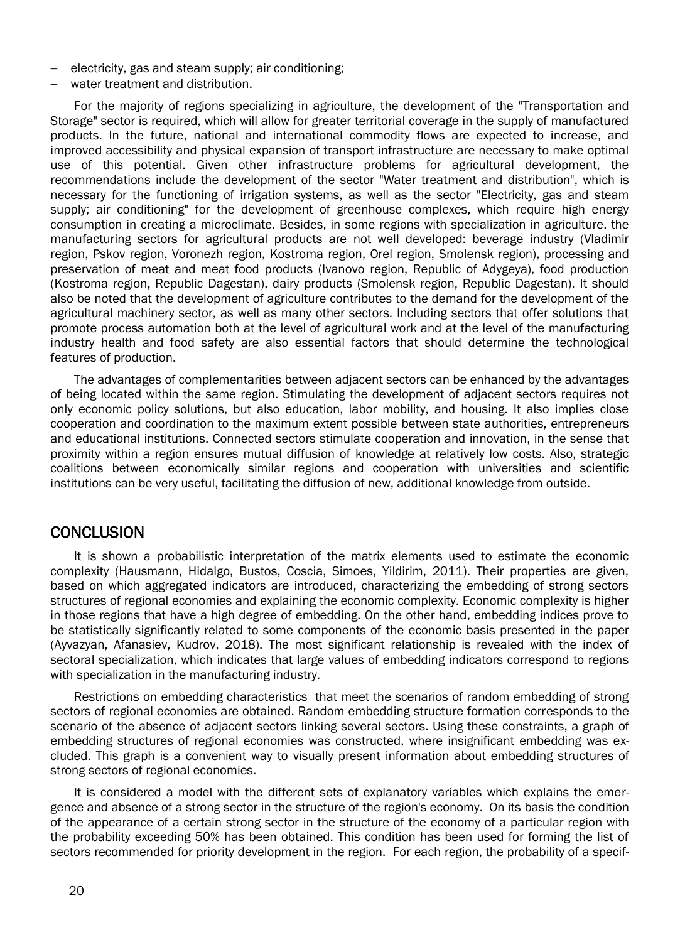- electricity, gas and steam supply; air conditioning;
- water treatment and distribution.

For the majority of regions specializing in agriculture, the development of the "Transportation and Storage" sector is required, which will allow for greater territorial coverage in the supply of manufactured products. In the future, national and international commodity flows are expected to increase, and improved accessibility and physical expansion of transport infrastructure are necessary to make optimal use of this potential. Given other infrastructure problems for agricultural development, the recommendations include the development of the sector "Water treatment and distribution", which is necessary for the functioning of irrigation systems, as well as the sector "Electricity, gas and steam supply; air conditioning" for the development of greenhouse complexes, which require high energy consumption in creating a microclimate. Besides, in some regions with specialization in agriculture, the manufacturing sectors for agricultural products are not well developed: beverage industry (Vladimir region, Pskov region, Voronezh region, Kostroma region, Orel region, Smolensk region), processing and preservation of meat and meat food products (Ivanovo region, Republic of Adygeya), food production (Kostroma region, Republic Dagestan), dairy products (Smolensk region, Republic Dagestan). It should also be noted that the development of agriculture contributes to the demand for the development of the agricultural machinery sector, as well as many other sectors. Including sectors that offer solutions that promote process automation both at the level of agricultural work and at the level of the manufacturing industry health and food safety are also essential factors that should determine the technological features of production.

The advantages of complementarities between adjacent sectors can be enhanced by the advantages of being located within the same region. Stimulating the development of adjacent sectors requires not only economic policy solutions, but also education, labor mobility, and housing. It also implies close cooperation and coordination to the maximum extent possible between state authorities, entrepreneurs and educational institutions. Connected sectors stimulate cooperation and innovation, in the sense that proximity within a region ensures mutual diffusion of knowledge at relatively low costs. Also, strategic coalitions between economically similar regions and cooperation with universities and scientific institutions can be very useful, facilitating the diffusion of new, additional knowledge from outside.

#### **CONCLUSION**

It is shown a probabilistic interpretation of the matrix elements used to estimate the economic complexity (Hausmann, Hidalgo, Bustos, Coscia, Simoes, Yildirim, 2011). Their properties are given, based on which aggregated indicators are introduced, characterizing the embedding of strong sectors structures of regional economies and explaining the economic complexity. Economic complexity is higher in those regions that have a high degree of embedding. On the other hand, embedding indices prove to be statistically significantly related to some components of the economic basis presented in the paper (Ayvazyan, Afanasiev, Kudrov, 2018). The most significant relationship is revealed with the index of sectoral specialization, which indicates that large values of embedding indicators correspond to regions with specialization in the manufacturing industry.

Restrictions on embedding characteristics that meet the scenarios of random embedding of strong sectors of regional economies are obtained. Random embedding structure formation corresponds to the scenario of the absence of adjacent sectors linking several sectors. Using these constraints, a graph of embedding structures of regional economies was constructed, where insignificant embedding was excluded. This graph is a convenient way to visually present information about embedding structures of strong sectors of regional economies.

It is considered a model with the different sets of explanatory variables which explains the emergence and absence of a strong sector in the structure of the region's economy. On its basis the condition of the appearance of a certain strong sector in the structure of the economy of a particular region with the probability exceeding 50% has been obtained. This condition has been used for forming the list of sectors recommended for priority development in the region. For each region, the probability of a specif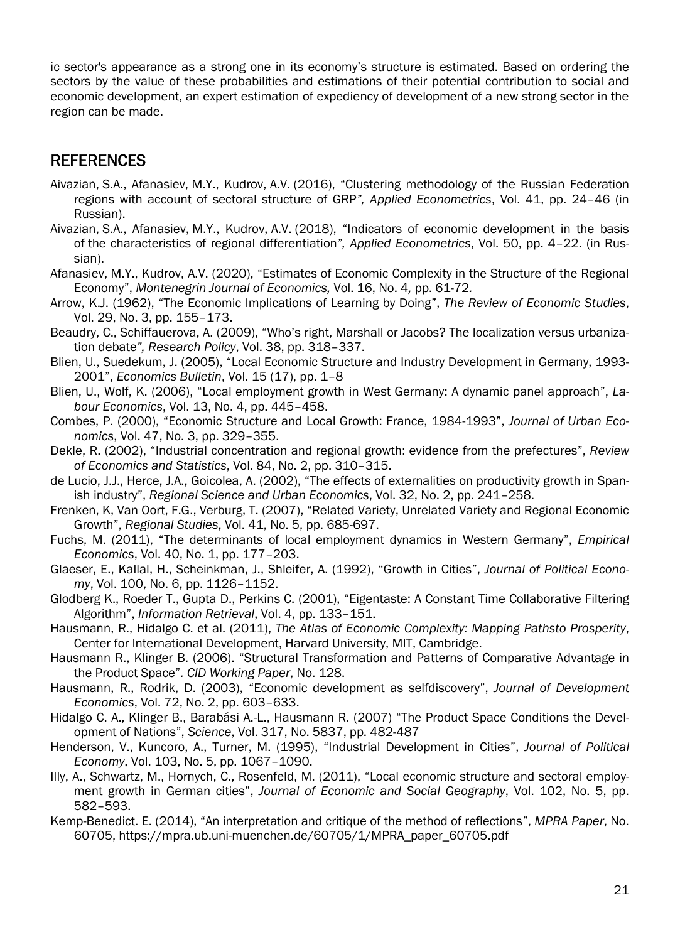ic sector's appearance as a strong one in its economy's structure is estimated. Based on ordering the sectors by the value of these probabilities and estimations of their potential contribution to social and economic development, an expert estimation of expediency of development of a new strong sector in the region can be made.

### **REFERENCES**

- Aivazian, S.A., Afanasiev, M.Y., Kudrov, A.V. (2016), "Clustering methodology of the Russian Federation regions with account of sectoral structure of GRP*", Applied Econometrics*, Vol. 41, pp. 24–46 (in Russian).
- Aivazian, S.A., Afanasiev, M.Y., Kudrov, A.V. (2018), "Indicators of economic development in the basis of the characteristics of regional differentiation*", Applied Econometrics*, Vol. 50, pp. 4–22. (in Russian).
- Afanasiev, M.Y., Kudrov, A.V. (2020), "Estimates of Economic Complexity in the Structure of the Regional Economy", *Montenegrin Journal of Economics,* Vol. 16, No. 4*,* pp. 61-72*.*
- Arrow, K.J. (1962), "The Economic Implications of Learning by Doing", *The Review of Economic Studies*, Vol. 29, No. 3, pp. 155–173.
- Beaudry, C., Schiffauerova, A. (2009), "Who's right, Marshall or Jacobs? The localization versus urbanization debate*", Research Policy*, Vol. 38, pp. 318–337.
- Blien, U., Suedekum, J. (2005), "Local Economic Structure and Industry Development in Germany, 1993- 2001", *Economics Bulletin*, Vol. 15 (17), pp. 1–8
- Blien, U., Wolf, K. (2006), "Local employment growth in West Germany: A dynamic panel approach", *Labour Economics*, Vol. 13, No. 4, pp. 445–458.
- Combes, P. (2000), "Economic Structure and Local Growth: France, 1984-1993", *Journal of Urban Economics*, Vol. 47, No. 3, pp. 329–355.
- Dekle, R. (2002), "Industrial concentration and regional growth: evidence from the prefectures", *Review of Economics and Statistics*, Vol. 84, No. 2, pp. 310–315.
- de Lucio, J.J., Herce, J.A., Goicolea, A. (2002), "The effects of externalities on productivity growth in Spanish industry", *Regional Science and Urban Economics*, Vol. 32, No. 2, pp. 241–258.
- Frenken, K, Van Oort, F.G., Verburg, T. (2007), "Related Variety, Unrelated Variety and Regional Economic Growth", *Regional Studies*, Vol. 41, No. 5, pp. 685-697.
- Fuchs, M. (2011), "The determinants of local employment dynamics in Western Germany", *Empirical Economics*, Vol. 40, No. 1, pp. 177–203.
- Glaeser, E., Kallal, H., Scheinkman, J., Shleifer, A. (1992), "Growth in Cities", *Journal of Political Economy*, Vol. 100, No. 6, pp. 1126–1152.
- Glodberg K., Roeder T., Gupta D., Perkins C. (2001), "Eigentaste: A Constant Time Collaborative Filtering Algorithm", *Information Retrieval*, Vol. 4, pp. 133–151.
- Hausmann, R., Hidalgo C. et al. (2011), *The Atlas of Economic Complexity: Mapping Pathsto Prosperity*, Center for International Development, Harvard University, MIT, Cambridge.
- Hausmann R., Klinger B. (2006). "Structural Transformation and Patterns of Comparative Advantage in the Product Space"*. CID Working Paper*, No. 128.
- Hausmann, R., Rodrik, D. (2003), "Economic development as selfdiscovery", *Journal of Development Economics*, Vol. 72, No. 2, pp. 603–633.
- Hidalgo C. A., Klinger B., Barabási A.-L., Hausmann R. (2007) "The Product Space Conditions the Development of Nations", *Science*, Vol. 317, No. 5837, pp. 482-487
- Henderson, V., Kuncoro, A., Turner, M. (1995), "Industrial Development in Cities", *Journal of Political Economy*, Vol. 103, No. 5, pp. 1067–1090.
- Illy, A., Schwartz, M., Hornych, C., Rosenfeld, M. (2011), "Local economic structure and sectoral employment growth in German cities", *Journal of Economic and Social Geography*, Vol. 102, No. 5, pp. 582–593.
- Kemp-Benedict. E. (2014), "An interpretation and critique of the method of reflections", *MPRA Paper*, No. 60705, https://mpra.ub.uni-muenchen.de/60705/1/MPRA\_paper\_60705.pdf